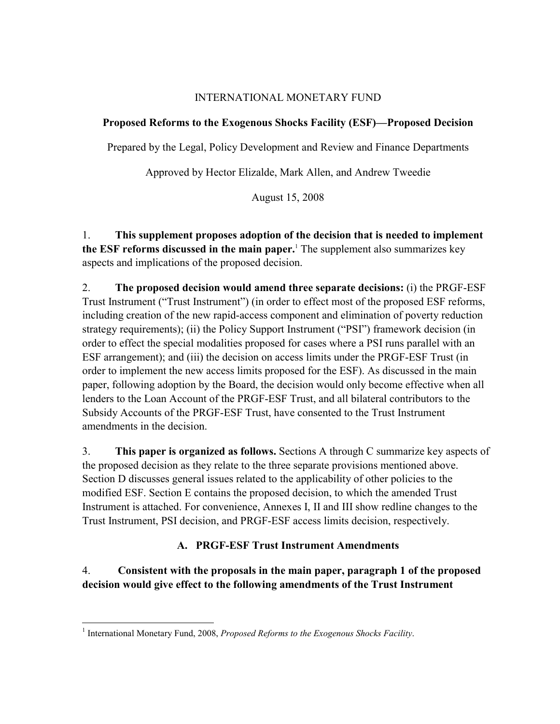# INTERNATIONAL MONETARY FUND

# **Proposed Reforms to the Exogenous Shocks Facility (ESF)—Proposed Decision**

Prepared by the Legal, Policy Development and Review and Finance Departments

Approved by Hector Elizalde, Mark Allen, and Andrew Tweedie

August 15, 2008

1. **This supplement proposes adoption of the decision that is needed to implement the ESF reforms discussed in the main paper.**<sup>1</sup> The supplement also summarizes key aspects and implications of the proposed decision.

2. **The proposed decision would amend three separate decisions:** (i) the PRGF-ESF Trust Instrument ("Trust Instrument") (in order to effect most of the proposed ESF reforms, including creation of the new rapid-access component and elimination of poverty reduction strategy requirements); (ii) the Policy Support Instrument ("PSI") framework decision (in order to effect the special modalities proposed for cases where a PSI runs parallel with an ESF arrangement); and (iii) the decision on access limits under the PRGF-ESF Trust (in order to implement the new access limits proposed for the ESF). As discussed in the main paper, following adoption by the Board, the decision would only become effective when all lenders to the Loan Account of the PRGF-ESF Trust, and all bilateral contributors to the Subsidy Accounts of the PRGF-ESF Trust, have consented to the Trust Instrument amendments in the decision.

3. **This paper is organized as follows.** Sections A through C summarize key aspects of the proposed decision as they relate to the three separate provisions mentioned above. Section D discusses general issues related to the applicability of other policies to the modified ESF. Section E contains the proposed decision, to which the amended Trust Instrument is attached. For convenience, Annexes I, II and III show redline changes to the Trust Instrument, PSI decision, and PRGF-ESF access limits decision, respectively.

# **A. PRGF-ESF Trust Instrument Amendments**

4. **Consistent with the proposals in the main paper, paragraph 1 of the proposed decision would give effect to the following amendments of the Trust Instrument**

 $\overline{a}$ <sup>1</sup> International Monetary Fund, 2008, *Proposed Reforms to the Exogenous Shocks Facility*.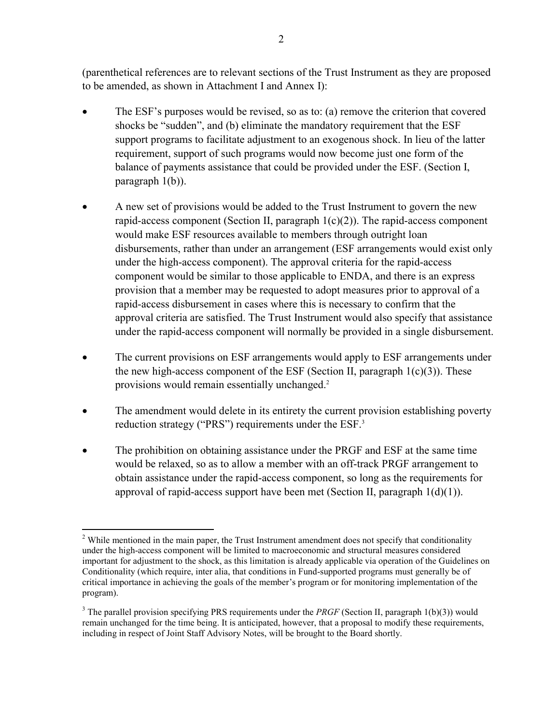(parenthetical references are to relevant sections of the Trust Instrument as they are proposed to be amended, as shown in Attachment I and Annex I):

- The ESF's purposes would be revised, so as to: (a) remove the criterion that covered shocks be "sudden", and (b) eliminate the mandatory requirement that the ESF support programs to facilitate adjustment to an exogenous shock. In lieu of the latter requirement, support of such programs would now become just one form of the balance of payments assistance that could be provided under the ESF. (Section I, paragraph 1(b)).
- A new set of provisions would be added to the Trust Instrument to govern the new rapid-access component (Section II, paragraph  $1(c)(2)$ ). The rapid-access component would make ESF resources available to members through outright loan disbursements, rather than under an arrangement (ESF arrangements would exist only under the high-access component). The approval criteria for the rapid-access component would be similar to those applicable to ENDA, and there is an express provision that a member may be requested to adopt measures prior to approval of a rapid-access disbursement in cases where this is necessary to confirm that the approval criteria are satisfied. The Trust Instrument would also specify that assistance under the rapid-access component will normally be provided in a single disbursement.
- The current provisions on ESF arrangements would apply to ESF arrangements under the new high-access component of the ESF (Section II, paragraph  $1(c)(3)$ ). These provisions would remain essentially unchanged.<sup>2</sup>
- The amendment would delete in its entirety the current provision establishing poverty reduction strategy ("PRS") requirements under the ESF.<sup>3</sup>
- The prohibition on obtaining assistance under the PRGF and ESF at the same time would be relaxed, so as to allow a member with an off-track PRGF arrangement to obtain assistance under the rapid-access component, so long as the requirements for approval of rapid-access support have been met (Section II, paragraph  $1(d)(1)$ ).

<sup>&</sup>lt;u>.</u>  $2$  While mentioned in the main paper, the Trust Instrument amendment does not specify that conditionality under the high-access component will be limited to macroeconomic and structural measures considered important for adjustment to the shock, as this limitation is already applicable via operation of the Guidelines on Conditionality (which require, inter alia, that conditions in Fund-supported programs must generally be of critical importance in achieving the goals of the member's program or for monitoring implementation of the program).

<sup>&</sup>lt;sup>3</sup> The parallel provision specifying PRS requirements under the *PRGF* (Section II, paragraph 1(b)(3)) would remain unchanged for the time being. It is anticipated, however, that a proposal to modify these requirements, including in respect of Joint Staff Advisory Notes, will be brought to the Board shortly.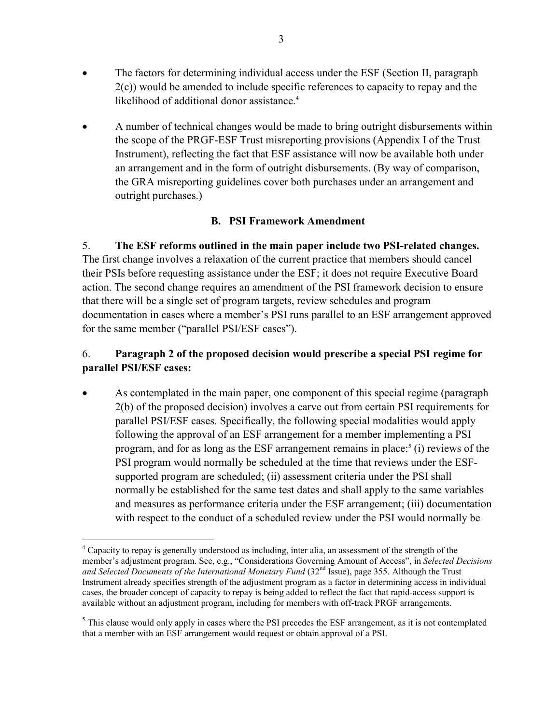- The factors for determining individual access under the ESF (Section II, paragraph 2(c)) would be amended to include specific references to capacity to repay and the likelihood of additional donor assistance.<sup>4</sup>
- A number of technical changes would be made to bring outright disbursements within the scope of the PRGF-ESF Trust misreporting provisions (Appendix I of the Trust Instrument), reflecting the fact that ESF assistance will now be available both under an arrangement and in the form of outright disbursements. (By way of comparison, the GRA misreporting guidelines cover both purchases under an arrangement and outright purchases.)

# **B. PSI Framework Amendment**

5. **The ESF reforms outlined in the main paper include two PSI-related changes.**  The first change involves a relaxation of the current practice that members should cancel their PSIs before requesting assistance under the ESF; it does not require Executive Board action. The second change requires an amendment of the PSI framework decision to ensure that there will be a single set of program targets, review schedules and program documentation in cases where a member's PSI runs parallel to an ESF arrangement approved for the same member ("parallel PSI/ESF cases").

# 6. **Paragraph 2 of the proposed decision would prescribe a special PSI regime for parallel PSI/ESF cases:**

• As contemplated in the main paper, one component of this special regime (paragraph 2(b) of the proposed decision) involves a carve out from certain PSI requirements for parallel PSI/ESF cases. Specifically, the following special modalities would apply following the approval of an ESF arrangement for a member implementing a PSI program, and for as long as the ESF arrangement remains in place: $5$  (i) reviews of the PSI program would normally be scheduled at the time that reviews under the ESFsupported program are scheduled; (ii) assessment criteria under the PSI shall normally be established for the same test dates and shall apply to the same variables and measures as performance criteria under the ESF arrangement; (iii) documentation with respect to the conduct of a scheduled review under the PSI would normally be

 $\overline{a}$ <sup>4</sup> Capacity to repay is generally understood as including, inter alia, an assessment of the strength of the member's adjustment program. See, e.g., "Considerations Governing Amount of Access", in *Selected Decisions*  and Selected Documents of the International Monetary Fund (32<sup>nd</sup> Issue), page 355. Although the Trust Instrument already specifies strength of the adjustment program as a factor in determining access in individual cases, the broader concept of capacity to repay is being added to reflect the fact that rapid-access support is available without an adjustment program, including for members with off-track PRGF arrangements.

 $<sup>5</sup>$  This clause would only apply in cases where the PSI precedes the ESF arrangement, as it is not contemplated</sup> that a member with an ESF arrangement would request or obtain approval of a PSI.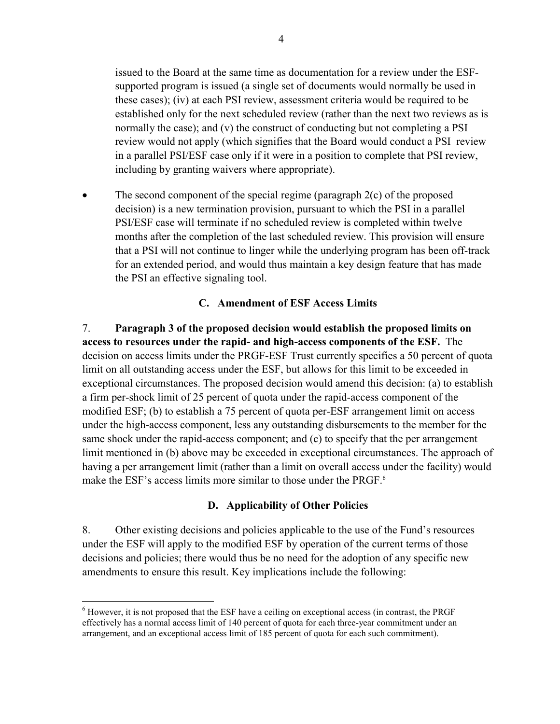issued to the Board at the same time as documentation for a review under the ESFsupported program is issued (a single set of documents would normally be used in these cases); (iv) at each PSI review, assessment criteria would be required to be established only for the next scheduled review (rather than the next two reviews as is normally the case); and (v) the construct of conducting but not completing a PSI review would not apply (which signifies that the Board would conduct a PSI review in a parallel PSI/ESF case only if it were in a position to complete that PSI review, including by granting waivers where appropriate).

The second component of the special regime (paragraph  $2(c)$  of the proposed decision) is a new termination provision, pursuant to which the PSI in a parallel PSI/ESF case will terminate if no scheduled review is completed within twelve months after the completion of the last scheduled review. This provision will ensure that a PSI will not continue to linger while the underlying program has been off-track for an extended period, and would thus maintain a key design feature that has made the PSI an effective signaling tool.

# **C. Amendment of ESF Access Limits**

7. **Paragraph 3 of the proposed decision would establish the proposed limits on access to resources under the rapid- and high-access components of the ESF.** The decision on access limits under the PRGF-ESF Trust currently specifies a 50 percent of quota limit on all outstanding access under the ESF, but allows for this limit to be exceeded in exceptional circumstances. The proposed decision would amend this decision: (a) to establish a firm per-shock limit of 25 percent of quota under the rapid-access component of the modified ESF; (b) to establish a 75 percent of quota per-ESF arrangement limit on access under the high-access component, less any outstanding disbursements to the member for the same shock under the rapid-access component; and (c) to specify that the per arrangement limit mentioned in (b) above may be exceeded in exceptional circumstances. The approach of having a per arrangement limit (rather than a limit on overall access under the facility) would make the ESF's access limits more similar to those under the PRGF.<sup>6</sup>

## **D. Applicability of Other Policies**

8. Other existing decisions and policies applicable to the use of the Fund's resources under the ESF will apply to the modified ESF by operation of the current terms of those decisions and policies; there would thus be no need for the adoption of any specific new amendments to ensure this result. Key implications include the following:

1

 $<sup>6</sup>$  However, it is not proposed that the ESF have a ceiling on exceptional access (in contrast, the PRGF</sup> effectively has a normal access limit of 140 percent of quota for each three-year commitment under an arrangement, and an exceptional access limit of 185 percent of quota for each such commitment).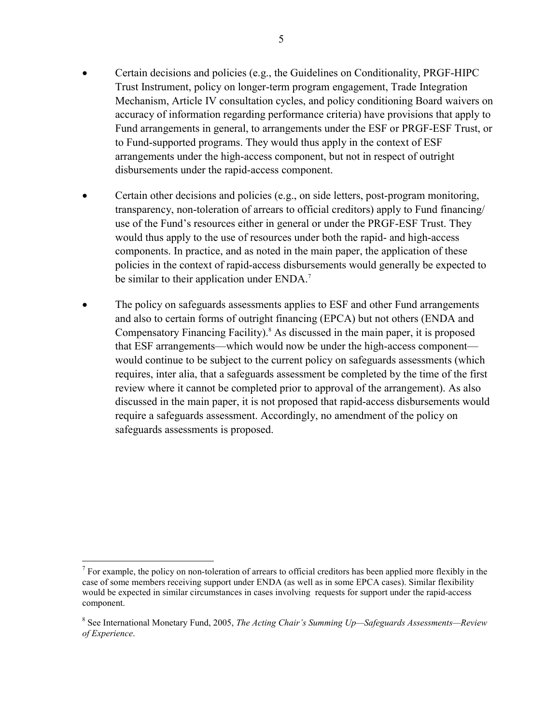- Certain decisions and policies (e.g., the Guidelines on Conditionality, PRGF-HIPC Trust Instrument, policy on longer-term program engagement, Trade Integration Mechanism, Article IV consultation cycles, and policy conditioning Board waivers on accuracy of information regarding performance criteria) have provisions that apply to Fund arrangements in general, to arrangements under the ESF or PRGF-ESF Trust, or to Fund-supported programs. They would thus apply in the context of ESF arrangements under the high-access component, but not in respect of outright disbursements under the rapid-access component.
- Certain other decisions and policies (e.g., on side letters, post-program monitoring, transparency, non-toleration of arrears to official creditors) apply to Fund financing/ use of the Fund's resources either in general or under the PRGF-ESF Trust. They would thus apply to the use of resources under both the rapid- and high-access components. In practice, and as noted in the main paper, the application of these policies in the context of rapid-access disbursements would generally be expected to be similar to their application under ENDA.<sup>7</sup>
- The policy on safeguards assessments applies to ESF and other Fund arrangements and also to certain forms of outright financing (EPCA) but not others (ENDA and Compensatory Financing Facility).<sup>8</sup> As discussed in the main paper, it is proposed that ESF arrangements—which would now be under the high-access component would continue to be subject to the current policy on safeguards assessments (which requires, inter alia, that a safeguards assessment be completed by the time of the first review where it cannot be completed prior to approval of the arrangement). As also discussed in the main paper, it is not proposed that rapid-access disbursements would require a safeguards assessment. Accordingly, no amendment of the policy on safeguards assessments is proposed.

1

 $<sup>7</sup>$  For example, the policy on non-toleration of arrears to official creditors has been applied more flexibly in the</sup> case of some members receiving support under ENDA (as well as in some EPCA cases). Similar flexibility would be expected in similar circumstances in cases involving requests for support under the rapid-access component.

<sup>8</sup> See International Monetary Fund, 2005, *The Acting Chair's Summing Up—Safeguards Assessments—Review of Experience*.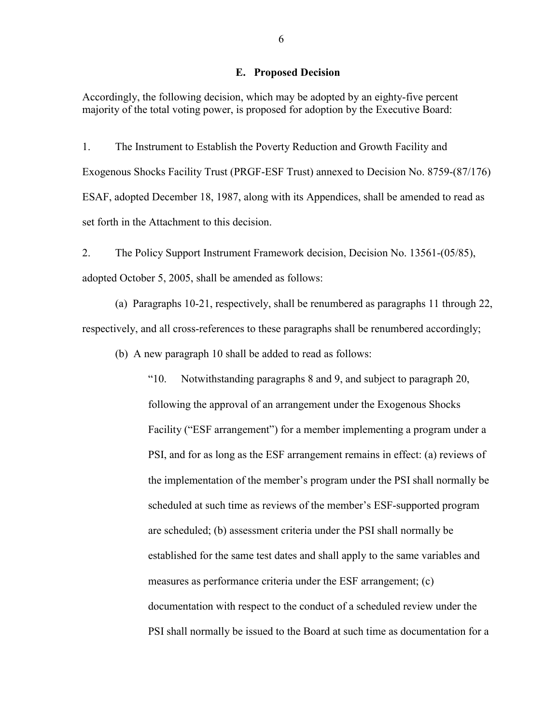#### **E. Proposed Decision**

Accordingly, the following decision, which may be adopted by an eighty-five percent majority of the total voting power, is proposed for adoption by the Executive Board:

1. The Instrument to Establish the Poverty Reduction and Growth Facility and Exogenous Shocks Facility Trust (PRGF-ESF Trust) annexed to Decision No. 8759-(87/176) ESAF, adopted December 18, 1987, along with its Appendices, shall be amended to read as set forth in the Attachment to this decision.

2. The Policy Support Instrument Framework decision, Decision No. 13561-(05/85), adopted October 5, 2005, shall be amended as follows:

(a) Paragraphs 10-21, respectively, shall be renumbered as paragraphs 11 through 22, respectively, and all cross-references to these paragraphs shall be renumbered accordingly;

(b) A new paragraph 10 shall be added to read as follows:

"10. Notwithstanding paragraphs 8 and 9, and subject to paragraph 20, following the approval of an arrangement under the Exogenous Shocks Facility ("ESF arrangement") for a member implementing a program under a PSI, and for as long as the ESF arrangement remains in effect: (a) reviews of the implementation of the member's program under the PSI shall normally be scheduled at such time as reviews of the member's ESF-supported program are scheduled; (b) assessment criteria under the PSI shall normally be established for the same test dates and shall apply to the same variables and measures as performance criteria under the ESF arrangement; (c) documentation with respect to the conduct of a scheduled review under the PSI shall normally be issued to the Board at such time as documentation for a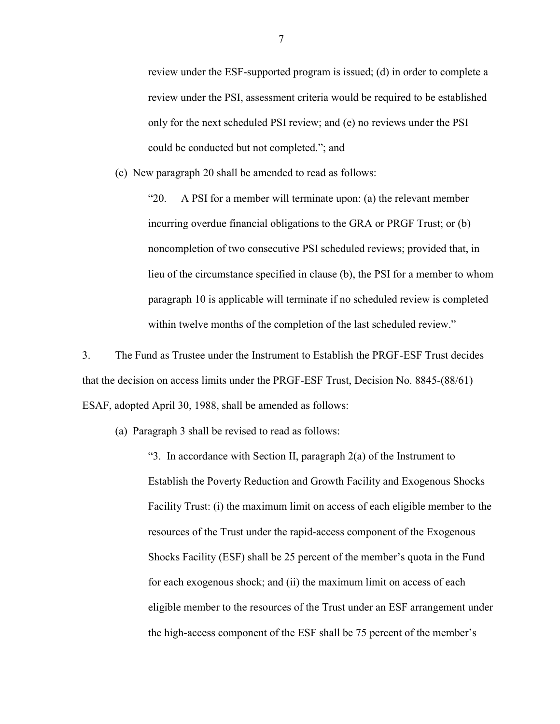review under the ESF-supported program is issued; (d) in order to complete a review under the PSI, assessment criteria would be required to be established only for the next scheduled PSI review; and (e) no reviews under the PSI could be conducted but not completed."; and

(c) New paragraph 20 shall be amended to read as follows:

"20. A PSI for a member will terminate upon: (a) the relevant member incurring overdue financial obligations to the GRA or PRGF Trust; or (b) noncompletion of two consecutive PSI scheduled reviews; provided that, in lieu of the circumstance specified in clause (b), the PSI for a member to whom paragraph 10 is applicable will terminate if no scheduled review is completed within twelve months of the completion of the last scheduled review."

3. The Fund as Trustee under the Instrument to Establish the PRGF-ESF Trust decides that the decision on access limits under the PRGF-ESF Trust, Decision No. 8845-(88/61) ESAF, adopted April 30, 1988, shall be amended as follows:

(a) Paragraph 3 shall be revised to read as follows:

"3. In accordance with Section II, paragraph 2(a) of the Instrument to Establish the Poverty Reduction and Growth Facility and Exogenous Shocks Facility Trust: (i) the maximum limit on access of each eligible member to the resources of the Trust under the rapid-access component of the Exogenous Shocks Facility (ESF) shall be 25 percent of the member's quota in the Fund for each exogenous shock; and (ii) the maximum limit on access of each eligible member to the resources of the Trust under an ESF arrangement under the high-access component of the ESF shall be 75 percent of the member's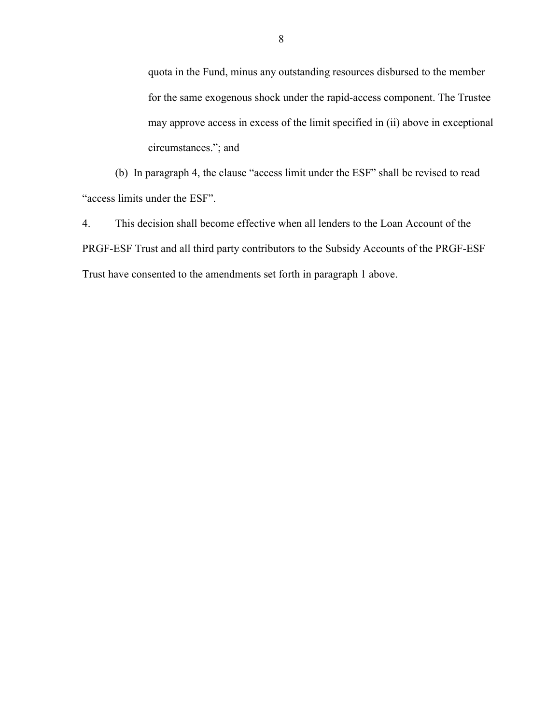quota in the Fund, minus any outstanding resources disbursed to the member for the same exogenous shock under the rapid-access component. The Trustee may approve access in excess of the limit specified in (ii) above in exceptional circumstances."; and

(b) In paragraph 4, the clause "access limit under the ESF" shall be revised to read "access limits under the ESF".

4. This decision shall become effective when all lenders to the Loan Account of the PRGF-ESF Trust and all third party contributors to the Subsidy Accounts of the PRGF-ESF Trust have consented to the amendments set forth in paragraph 1 above.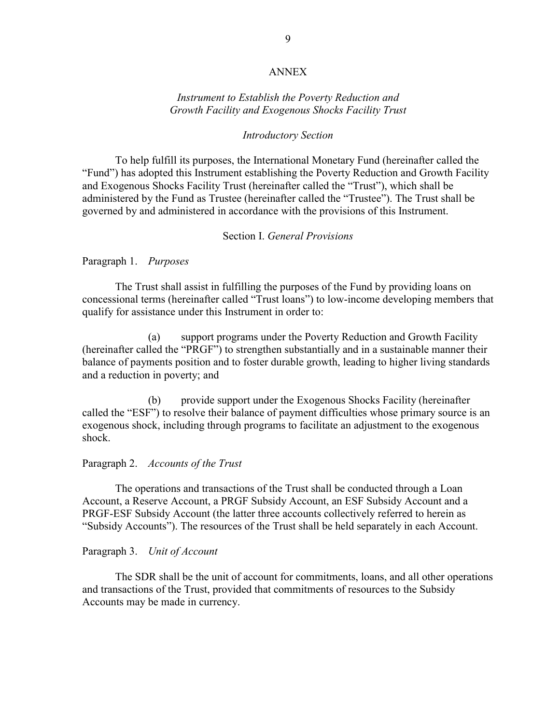#### ANNEX

## *Instrument to Establish the Poverty Reduction and Growth Facility and Exogenous Shocks Facility Trust*

#### *Introductory Section*

To help fulfill its purposes, the International Monetary Fund (hereinafter called the "Fund") has adopted this Instrument establishing the Poverty Reduction and Growth Facility and Exogenous Shocks Facility Trust (hereinafter called the "Trust"), which shall be administered by the Fund as Trustee (hereinafter called the "Trustee"). The Trust shall be governed by and administered in accordance with the provisions of this Instrument.

### Section I. *General Provisions*

#### Paragraph 1. *Purposes*

The Trust shall assist in fulfilling the purposes of the Fund by providing loans on concessional terms (hereinafter called "Trust loans") to low-income developing members that qualify for assistance under this Instrument in order to:

 (a) support programs under the Poverty Reduction and Growth Facility (hereinafter called the "PRGF") to strengthen substantially and in a sustainable manner their balance of payments position and to foster durable growth, leading to higher living standards and a reduction in poverty; and

 (b) provide support under the Exogenous Shocks Facility (hereinafter called the "ESF") to resolve their balance of payment difficulties whose primary source is an exogenous shock, including through programs to facilitate an adjustment to the exogenous shock.

### Paragraph 2. *Accounts of the Trust*

The operations and transactions of the Trust shall be conducted through a Loan Account, a Reserve Account, a PRGF Subsidy Account, an ESF Subsidy Account and a PRGF-ESF Subsidy Account (the latter three accounts collectively referred to herein as "Subsidy Accounts"). The resources of the Trust shall be held separately in each Account.

#### Paragraph 3. *Unit of Account*

The SDR shall be the unit of account for commitments, loans, and all other operations and transactions of the Trust, provided that commitments of resources to the Subsidy Accounts may be made in currency.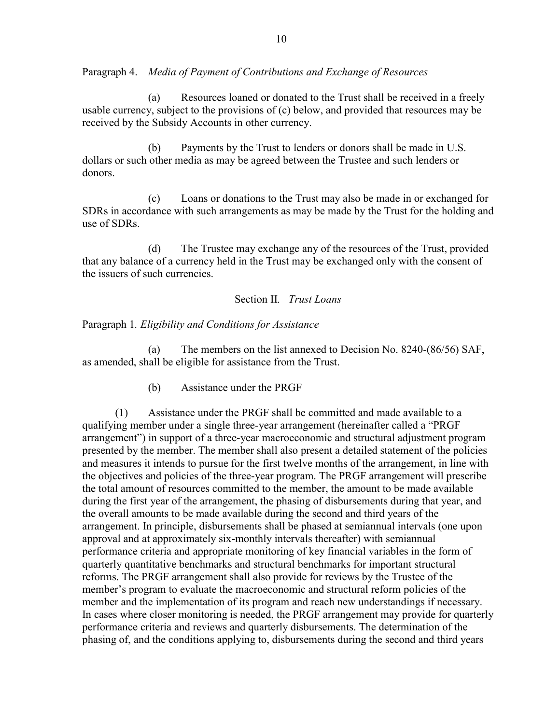Paragraph 4. *Media of Payment of Contributions and Exchange of Resources* 

 (a) Resources loaned or donated to the Trust shall be received in a freely usable currency, subject to the provisions of (c) below, and provided that resources may be received by the Subsidy Accounts in other currency.

 (b) Payments by the Trust to lenders or donors shall be made in U.S. dollars or such other media as may be agreed between the Trustee and such lenders or donors.

 (c) Loans or donations to the Trust may also be made in or exchanged for SDRs in accordance with such arrangements as may be made by the Trust for the holding and use of SDRs.

 (d) The Trustee may exchange any of the resources of the Trust, provided that any balance of a currency held in the Trust may be exchanged only with the consent of the issuers of such currencies.

# Section II*. Trust Loans*

Paragraph 1*. Eligibility and Conditions for Assistance* 

 (a) The members on the list annexed to Decision No. 8240-(86/56) SAF, as amended, shall be eligible for assistance from the Trust.

(b) Assistance under the PRGF

 (1) Assistance under the PRGF shall be committed and made available to a qualifying member under a single three-year arrangement (hereinafter called a "PRGF arrangement") in support of a three-year macroeconomic and structural adjustment program presented by the member. The member shall also present a detailed statement of the policies and measures it intends to pursue for the first twelve months of the arrangement, in line with the objectives and policies of the three-year program. The PRGF arrangement will prescribe the total amount of resources committed to the member, the amount to be made available during the first year of the arrangement, the phasing of disbursements during that year, and the overall amounts to be made available during the second and third years of the arrangement. In principle, disbursements shall be phased at semiannual intervals (one upon approval and at approximately six-monthly intervals thereafter) with semiannual performance criteria and appropriate monitoring of key financial variables in the form of quarterly quantitative benchmarks and structural benchmarks for important structural reforms. The PRGF arrangement shall also provide for reviews by the Trustee of the member's program to evaluate the macroeconomic and structural reform policies of the member and the implementation of its program and reach new understandings if necessary. In cases where closer monitoring is needed, the PRGF arrangement may provide for quarterly performance criteria and reviews and quarterly disbursements. The determination of the phasing of, and the conditions applying to, disbursements during the second and third years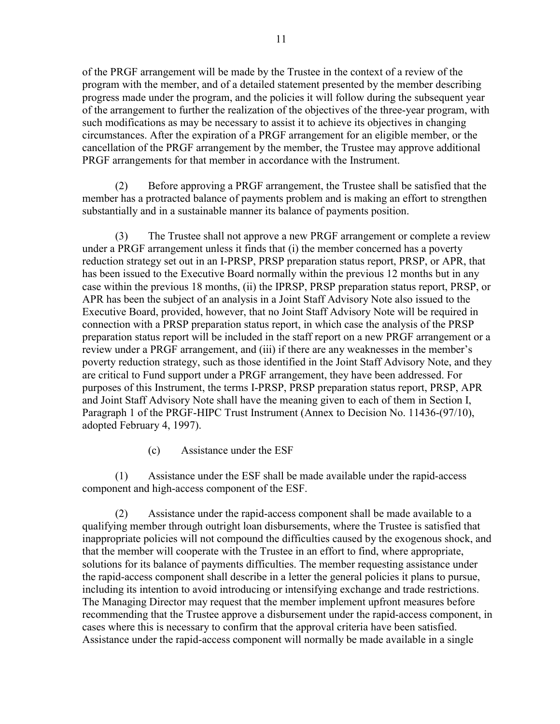of the PRGF arrangement will be made by the Trustee in the context of a review of the program with the member, and of a detailed statement presented by the member describing progress made under the program, and the policies it will follow during the subsequent year of the arrangement to further the realization of the objectives of the three-year program, with such modifications as may be necessary to assist it to achieve its objectives in changing circumstances. After the expiration of a PRGF arrangement for an eligible member, or the cancellation of the PRGF arrangement by the member, the Trustee may approve additional PRGF arrangements for that member in accordance with the Instrument.

 (2) Before approving a PRGF arrangement, the Trustee shall be satisfied that the member has a protracted balance of payments problem and is making an effort to strengthen substantially and in a sustainable manner its balance of payments position.

 (3) The Trustee shall not approve a new PRGF arrangement or complete a review under a PRGF arrangement unless it finds that (i) the member concerned has a poverty reduction strategy set out in an I-PRSP, PRSP preparation status report, PRSP, or APR, that has been issued to the Executive Board normally within the previous 12 months but in any case within the previous 18 months, (ii) the IPRSP, PRSP preparation status report, PRSP, or APR has been the subject of an analysis in a Joint Staff Advisory Note also issued to the Executive Board, provided, however, that no Joint Staff Advisory Note will be required in connection with a PRSP preparation status report, in which case the analysis of the PRSP preparation status report will be included in the staff report on a new PRGF arrangement or a review under a PRGF arrangement, and (iii) if there are any weaknesses in the member's poverty reduction strategy, such as those identified in the Joint Staff Advisory Note, and they are critical to Fund support under a PRGF arrangement, they have been addressed. For purposes of this Instrument, the terms I-PRSP, PRSP preparation status report, PRSP, APR and Joint Staff Advisory Note shall have the meaning given to each of them in Section I, Paragraph 1 of the PRGF-HIPC Trust Instrument (Annex to Decision No. 11436-(97/10), adopted February 4, 1997).

(c) Assistance under the ESF

 (1) Assistance under the ESF shall be made available under the rapid-access component and high-access component of the ESF.

 (2) Assistance under the rapid-access component shall be made available to a qualifying member through outright loan disbursements, where the Trustee is satisfied that inappropriate policies will not compound the difficulties caused by the exogenous shock, and that the member will cooperate with the Trustee in an effort to find, where appropriate, solutions for its balance of payments difficulties. The member requesting assistance under the rapid-access component shall describe in a letter the general policies it plans to pursue, including its intention to avoid introducing or intensifying exchange and trade restrictions. The Managing Director may request that the member implement upfront measures before recommending that the Trustee approve a disbursement under the rapid-access component, in cases where this is necessary to confirm that the approval criteria have been satisfied. Assistance under the rapid-access component will normally be made available in a single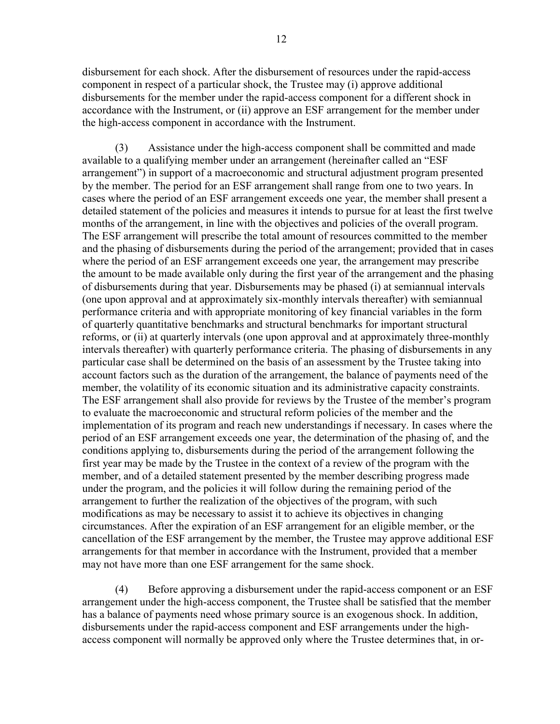disbursement for each shock. After the disbursement of resources under the rapid-access component in respect of a particular shock, the Trustee may (i) approve additional disbursements for the member under the rapid-access component for a different shock in accordance with the Instrument, or (ii) approve an ESF arrangement for the member under the high-access component in accordance with the Instrument.

 (3) Assistance under the high-access component shall be committed and made available to a qualifying member under an arrangement (hereinafter called an "ESF arrangement") in support of a macroeconomic and structural adjustment program presented by the member. The period for an ESF arrangement shall range from one to two years. In cases where the period of an ESF arrangement exceeds one year, the member shall present a detailed statement of the policies and measures it intends to pursue for at least the first twelve months of the arrangement, in line with the objectives and policies of the overall program. The ESF arrangement will prescribe the total amount of resources committed to the member and the phasing of disbursements during the period of the arrangement; provided that in cases where the period of an ESF arrangement exceeds one year, the arrangement may prescribe the amount to be made available only during the first year of the arrangement and the phasing of disbursements during that year. Disbursements may be phased (i) at semiannual intervals (one upon approval and at approximately six-monthly intervals thereafter) with semiannual performance criteria and with appropriate monitoring of key financial variables in the form of quarterly quantitative benchmarks and structural benchmarks for important structural reforms, or (ii) at quarterly intervals (one upon approval and at approximately three-monthly intervals thereafter) with quarterly performance criteria. The phasing of disbursements in any particular case shall be determined on the basis of an assessment by the Trustee taking into account factors such as the duration of the arrangement, the balance of payments need of the member, the volatility of its economic situation and its administrative capacity constraints. The ESF arrangement shall also provide for reviews by the Trustee of the member's program to evaluate the macroeconomic and structural reform policies of the member and the implementation of its program and reach new understandings if necessary. In cases where the period of an ESF arrangement exceeds one year, the determination of the phasing of, and the conditions applying to, disbursements during the period of the arrangement following the first year may be made by the Trustee in the context of a review of the program with the member, and of a detailed statement presented by the member describing progress made under the program, and the policies it will follow during the remaining period of the arrangement to further the realization of the objectives of the program, with such modifications as may be necessary to assist it to achieve its objectives in changing circumstances. After the expiration of an ESF arrangement for an eligible member, or the cancellation of the ESF arrangement by the member, the Trustee may approve additional ESF arrangements for that member in accordance with the Instrument, provided that a member may not have more than one ESF arrangement for the same shock.

 (4) Before approving a disbursement under the rapid-access component or an ESF arrangement under the high-access component, the Trustee shall be satisfied that the member has a balance of payments need whose primary source is an exogenous shock. In addition, disbursements under the rapid-access component and ESF arrangements under the highaccess component will normally be approved only where the Trustee determines that, in or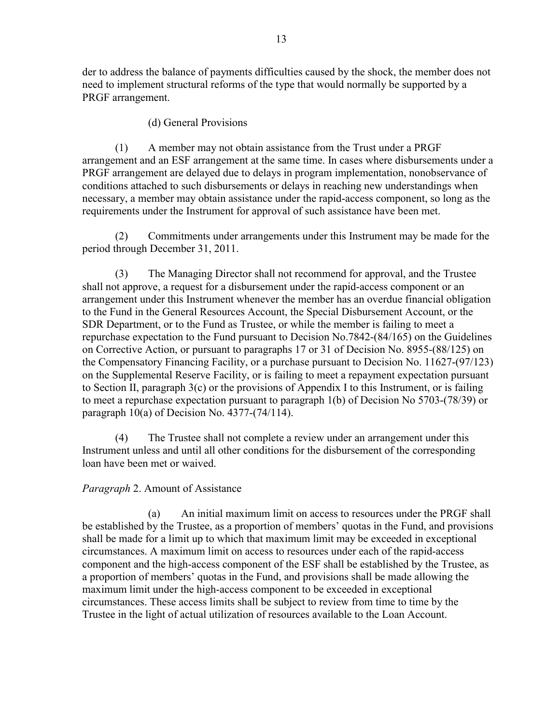der to address the balance of payments difficulties caused by the shock, the member does not need to implement structural reforms of the type that would normally be supported by a PRGF arrangement.

## (d) General Provisions

 (1) A member may not obtain assistance from the Trust under a PRGF arrangement and an ESF arrangement at the same time. In cases where disbursements under a PRGF arrangement are delayed due to delays in program implementation, nonobservance of conditions attached to such disbursements or delays in reaching new understandings when necessary, a member may obtain assistance under the rapid-access component, so long as the requirements under the Instrument for approval of such assistance have been met.

 (2) Commitments under arrangements under this Instrument may be made for the period through December 31, 2011.

 (3) The Managing Director shall not recommend for approval, and the Trustee shall not approve, a request for a disbursement under the rapid-access component or an arrangement under this Instrument whenever the member has an overdue financial obligation to the Fund in the General Resources Account, the Special Disbursement Account, or the SDR Department, or to the Fund as Trustee, or while the member is failing to meet a repurchase expectation to the Fund pursuant to Decision No.7842-(84/165) on the Guidelines on Corrective Action, or pursuant to paragraphs 17 or 31 of Decision No. 8955-(88/125) on the Compensatory Financing Facility, or a purchase pursuant to Decision No. 11627-(97/123) on the Supplemental Reserve Facility, or is failing to meet a repayment expectation pursuant to Section II, paragraph 3(c) or the provisions of Appendix I to this Instrument, or is failing to meet a repurchase expectation pursuant to paragraph 1(b) of Decision No 5703-(78/39) or paragraph 10(a) of Decision No. 4377-(74/114).

(4) The Trustee shall not complete a review under an arrangement under this Instrument unless and until all other conditions for the disbursement of the corresponding loan have been met or waived.

## *Paragraph* 2. Amount of Assistance

 (a) An initial maximum limit on access to resources under the PRGF shall be established by the Trustee, as a proportion of members' quotas in the Fund, and provisions shall be made for a limit up to which that maximum limit may be exceeded in exceptional circumstances. A maximum limit on access to resources under each of the rapid-access component and the high-access component of the ESF shall be established by the Trustee, as a proportion of members' quotas in the Fund, and provisions shall be made allowing the maximum limit under the high-access component to be exceeded in exceptional circumstances. These access limits shall be subject to review from time to time by the Trustee in the light of actual utilization of resources available to the Loan Account.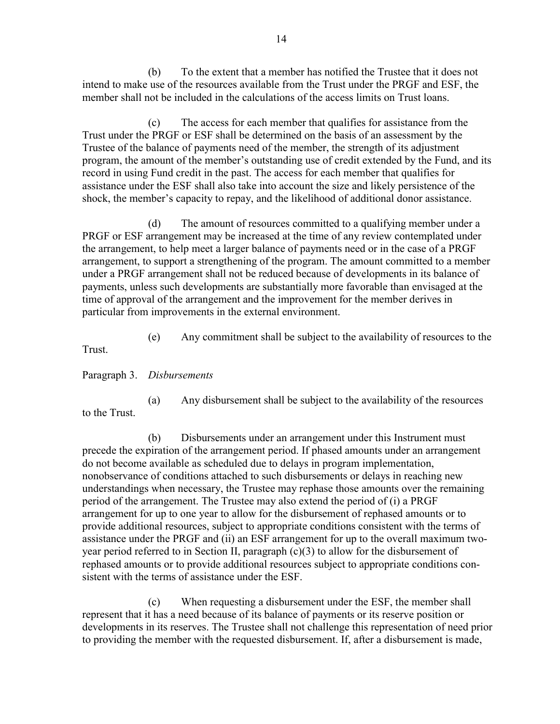(b) To the extent that a member has notified the Trustee that it does not intend to make use of the resources available from the Trust under the PRGF and ESF, the member shall not be included in the calculations of the access limits on Trust loans.

 (c) The access for each member that qualifies for assistance from the Trust under the PRGF or ESF shall be determined on the basis of an assessment by the Trustee of the balance of payments need of the member, the strength of its adjustment program, the amount of the member's outstanding use of credit extended by the Fund, and its record in using Fund credit in the past. The access for each member that qualifies for assistance under the ESF shall also take into account the size and likely persistence of the shock, the member's capacity to repay, and the likelihood of additional donor assistance.

 (d) The amount of resources committed to a qualifying member under a PRGF or ESF arrangement may be increased at the time of any review contemplated under the arrangement, to help meet a larger balance of payments need or in the case of a PRGF arrangement, to support a strengthening of the program. The amount committed to a member under a PRGF arrangement shall not be reduced because of developments in its balance of payments, unless such developments are substantially more favorable than envisaged at the time of approval of the arrangement and the improvement for the member derives in particular from improvements in the external environment.

(e) Any commitment shall be subject to the availability of resources to the

Trust.

Paragraph 3. *Disbursements* 

 (a) Any disbursement shall be subject to the availability of the resources to the Trust.

 (b) Disbursements under an arrangement under this Instrument must precede the expiration of the arrangement period. If phased amounts under an arrangement do not become available as scheduled due to delays in program implementation, nonobservance of conditions attached to such disbursements or delays in reaching new understandings when necessary, the Trustee may rephase those amounts over the remaining period of the arrangement. The Trustee may also extend the period of (i) a PRGF arrangement for up to one year to allow for the disbursement of rephased amounts or to provide additional resources, subject to appropriate conditions consistent with the terms of assistance under the PRGF and (ii) an ESF arrangement for up to the overall maximum twoyear period referred to in Section II, paragraph (c)(3) to allow for the disbursement of rephased amounts or to provide additional resources subject to appropriate conditions consistent with the terms of assistance under the ESF.

 (c) When requesting a disbursement under the ESF, the member shall represent that it has a need because of its balance of payments or its reserve position or developments in its reserves. The Trustee shall not challenge this representation of need prior to providing the member with the requested disbursement. If, after a disbursement is made,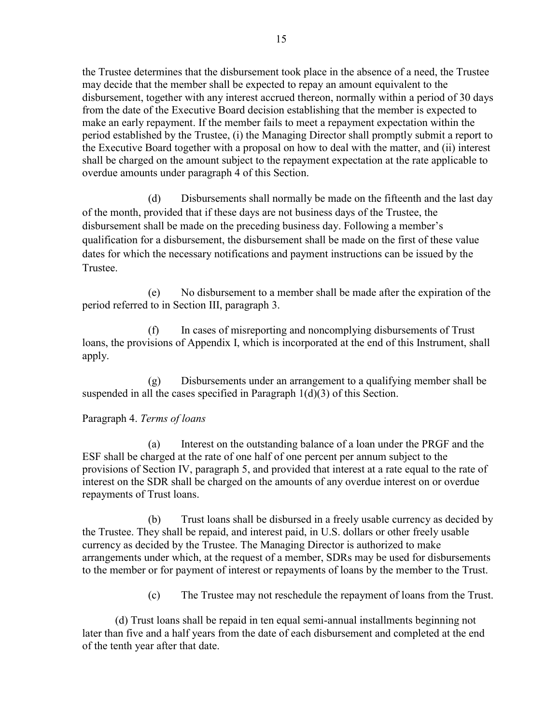the Trustee determines that the disbursement took place in the absence of a need, the Trustee may decide that the member shall be expected to repay an amount equivalent to the disbursement, together with any interest accrued thereon, normally within a period of 30 days from the date of the Executive Board decision establishing that the member is expected to make an early repayment. If the member fails to meet a repayment expectation within the period established by the Trustee, (i) the Managing Director shall promptly submit a report to the Executive Board together with a proposal on how to deal with the matter, and (ii) interest shall be charged on the amount subject to the repayment expectation at the rate applicable to overdue amounts under paragraph 4 of this Section.

 (d) Disbursements shall normally be made on the fifteenth and the last day of the month, provided that if these days are not business days of the Trustee, the disbursement shall be made on the preceding business day. Following a member's qualification for a disbursement, the disbursement shall be made on the first of these value dates for which the necessary notifications and payment instructions can be issued by the Trustee.

 (e) No disbursement to a member shall be made after the expiration of the period referred to in Section III, paragraph 3.

 (f) In cases of misreporting and noncomplying disbursements of Trust loans, the provisions of Appendix I, which is incorporated at the end of this Instrument, shall apply.

 (g) Disbursements under an arrangement to a qualifying member shall be suspended in all the cases specified in Paragraph 1(d)(3) of this Section.

# Paragraph 4. *Terms of loans*

 (a) Interest on the outstanding balance of a loan under the PRGF and the ESF shall be charged at the rate of one half of one percent per annum subject to the provisions of Section IV, paragraph 5, and provided that interest at a rate equal to the rate of interest on the SDR shall be charged on the amounts of any overdue interest on or overdue repayments of Trust loans.

 (b) Trust loans shall be disbursed in a freely usable currency as decided by the Trustee. They shall be repaid, and interest paid, in U.S. dollars or other freely usable currency as decided by the Trustee. The Managing Director is authorized to make arrangements under which, at the request of a member, SDRs may be used for disbursements to the member or for payment of interest or repayments of loans by the member to the Trust.

(c) The Trustee may not reschedule the repayment of loans from the Trust.

(d) Trust loans shall be repaid in ten equal semi-annual installments beginning not later than five and a half years from the date of each disbursement and completed at the end of the tenth year after that date.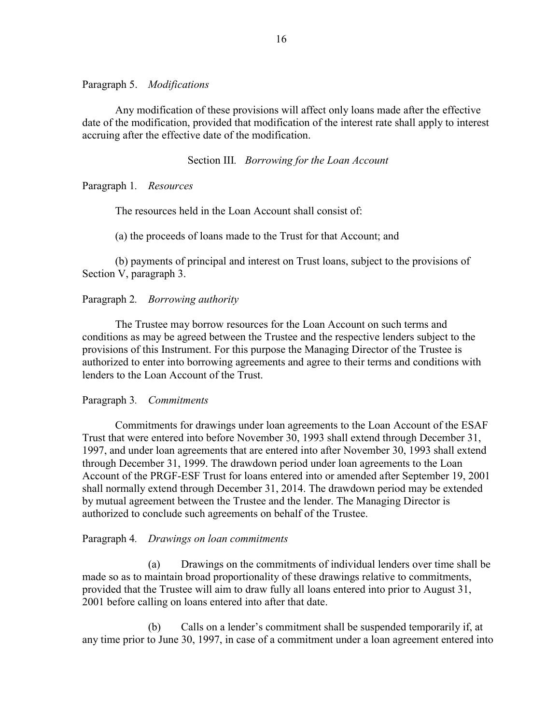#### Paragraph 5. *Modifications*

Any modification of these provisions will affect only loans made after the effective date of the modification, provided that modification of the interest rate shall apply to interest accruing after the effective date of the modification.

#### Section III*. Borrowing for the Loan Account*

Paragraph 1*. Resources* 

The resources held in the Loan Account shall consist of:

(a) the proceeds of loans made to the Trust for that Account; and

 (b) payments of principal and interest on Trust loans, subject to the provisions of Section V, paragraph 3.

#### Paragraph 2*. Borrowing authority*

The Trustee may borrow resources for the Loan Account on such terms and conditions as may be agreed between the Trustee and the respective lenders subject to the provisions of this Instrument. For this purpose the Managing Director of the Trustee is authorized to enter into borrowing agreements and agree to their terms and conditions with lenders to the Loan Account of the Trust.

#### Paragraph 3*. Commitments*

Commitments for drawings under loan agreements to the Loan Account of the ESAF Trust that were entered into before November 30, 1993 shall extend through December 31, 1997, and under loan agreements that are entered into after November 30, 1993 shall extend through December 31, 1999. The drawdown period under loan agreements to the Loan Account of the PRGF-ESF Trust for loans entered into or amended after September 19, 2001 shall normally extend through December 31, 2014. The drawdown period may be extended by mutual agreement between the Trustee and the lender. The Managing Director is authorized to conclude such agreements on behalf of the Trustee.

#### Paragraph 4*. Drawings on loan commitments*

(a) Drawings on the commitments of individual lenders over time shall be made so as to maintain broad proportionality of these drawings relative to commitments, provided that the Trustee will aim to draw fully all loans entered into prior to August 31, 2001 before calling on loans entered into after that date.

 (b) Calls on a lender's commitment shall be suspended temporarily if, at any time prior to June 30, 1997, in case of a commitment under a loan agreement entered into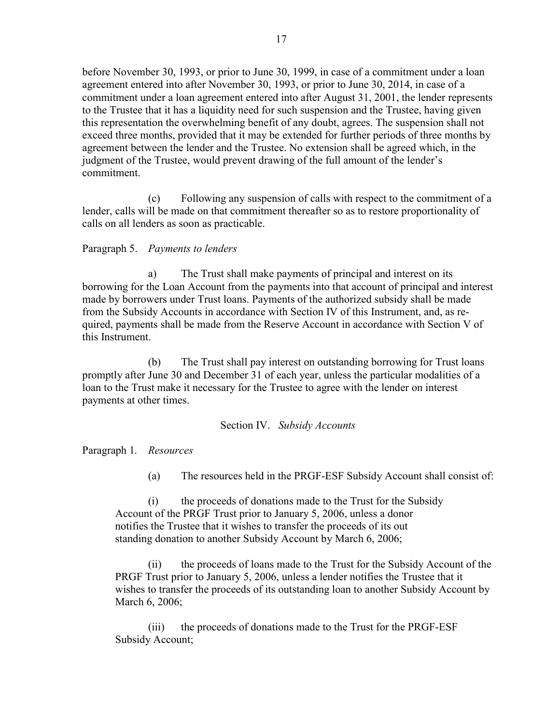before November 30, 1993, or prior to June 30, 1999, in case of a commitment under a loan agreement entered into after November 30, 1993, or prior to June 30, 2014, in case of a commitment under a loan agreement entered into after August 31, 2001, the lender represents to the Trustee that it has a liquidity need for such suspension and the Trustee, having given this representation the overwhelming benefit of any doubt, agrees. The suspension shall not exceed three months, provided that it may be extended for further periods of three months by agreement between the lender and the Trustee. No extension shall be agreed which, in the judgment of the Trustee, would prevent drawing of the full amount of the lender's commitment.

 (c) Following any suspension of calls with respect to the commitment of a lender, calls will be made on that commitment thereafter so as to restore proportionality of calls on all lenders as soon as practicable.

# Paragraph 5. *Payments to lenders*

 a) The Trust shall make payments of principal and interest on its borrowing for the Loan Account from the payments into that account of principal and interest made by borrowers under Trust loans. Payments of the authorized subsidy shall be made from the Subsidy Accounts in accordance with Section IV of this Instrument, and, as required, payments shall be made from the Reserve Account in accordance with Section V of this Instrument.

 (b) The Trust shall pay interest on outstanding borrowing for Trust loans promptly after June 30 and December 31 of each year, unless the particular modalities of a loan to the Trust make it necessary for the Trustee to agree with the lender on interest payments at other times.

#### Section IV. *Subsidy Accounts*

Paragraph 1*. Resources* 

(a) The resources held in the PRGF-ESF Subsidy Account shall consist of:

 (i) the proceeds of donations made to the Trust for the Subsidy Account of the PRGF Trust prior to January 5, 2006, unless a donor notifies the Trustee that it wishes to transfer the proceeds of its out standing donation to another Subsidy Account by March 6, 2006;

 (ii) the proceeds of loans made to the Trust for the Subsidy Account of the PRGF Trust prior to January 5, 2006, unless a lender notifies the Trustee that it wishes to transfer the proceeds of its outstanding loan to another Subsidy Account by March 6, 2006;

 (iii) the proceeds of donations made to the Trust for the PRGF-ESF Subsidy Account;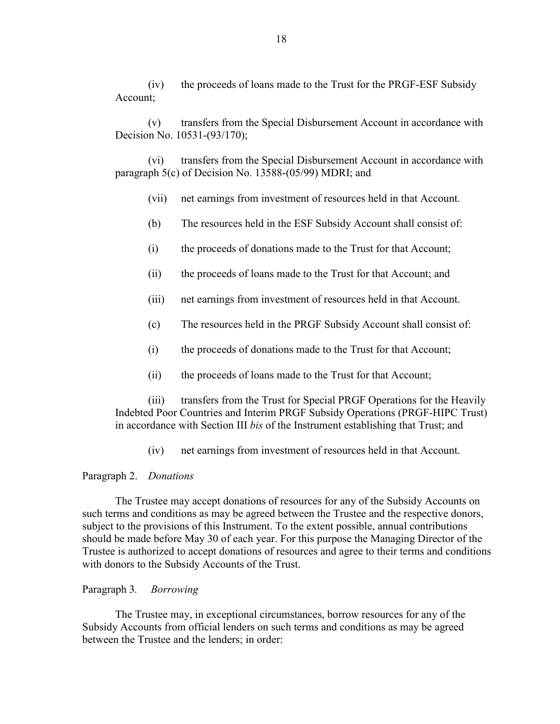(iv) the proceeds of loans made to the Trust for the PRGF-ESF Subsidy Account;

 (v) transfers from the Special Disbursement Account in accordance with Decision No. 10531-(93/170);

 (vi) transfers from the Special Disbursement Account in accordance with paragraph 5(c) of Decision No. 13588-(05/99) MDRI; and

- (vii) net earnings from investment of resources held in that Account.
- (b) The resources held in the ESF Subsidy Account shall consist of:
- (i) the proceeds of donations made to the Trust for that Account;
- (ii) the proceeds of loans made to the Trust for that Account; and
- (iii) net earnings from investment of resources held in that Account.
- (c) The resources held in the PRGF Subsidy Account shall consist of:
- (i) the proceeds of donations made to the Trust for that Account;
- (ii) the proceeds of loans made to the Trust for that Account;

 (iii) transfers from the Trust for Special PRGF Operations for the Heavily Indebted Poor Countries and Interim PRGF Subsidy Operations (PRGF-HIPC Trust) in accordance with Section III *bis* of the Instrument establishing that Trust; and

(iv) net earnings from investment of resources held in that Account.

#### Paragraph 2. *Donations*

The Trustee may accept donations of resources for any of the Subsidy Accounts on such terms and conditions as may be agreed between the Trustee and the respective donors, subject to the provisions of this Instrument. To the extent possible, annual contributions should be made before May 30 of each year. For this purpose the Managing Director of the Trustee is authorized to accept donations of resources and agree to their terms and conditions with donors to the Subsidy Accounts of the Trust.

#### Paragraph 3*. Borrowing*

The Trustee may, in exceptional circumstances, borrow resources for any of the Subsidy Accounts from official lenders on such terms and conditions as may be agreed between the Trustee and the lenders; in order: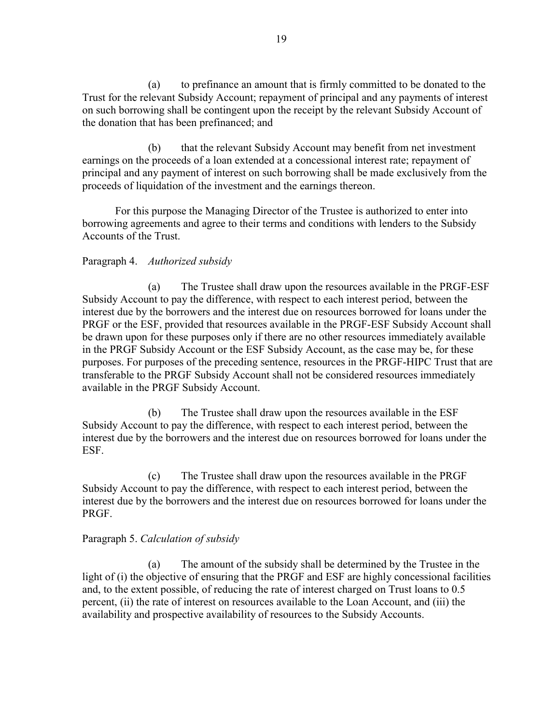(a) to prefinance an amount that is firmly committed to be donated to the Trust for the relevant Subsidy Account; repayment of principal and any payments of interest on such borrowing shall be contingent upon the receipt by the relevant Subsidy Account of the donation that has been prefinanced; and

 (b) that the relevant Subsidy Account may benefit from net investment earnings on the proceeds of a loan extended at a concessional interest rate; repayment of principal and any payment of interest on such borrowing shall be made exclusively from the proceeds of liquidation of the investment and the earnings thereon.

 For this purpose the Managing Director of the Trustee is authorized to enter into borrowing agreements and agree to their terms and conditions with lenders to the Subsidy Accounts of the Trust.

# Paragraph 4. *Authorized subsidy*

(a) The Trustee shall draw upon the resources available in the PRGF-ESF Subsidy Account to pay the difference, with respect to each interest period, between the interest due by the borrowers and the interest due on resources borrowed for loans under the PRGF or the ESF, provided that resources available in the PRGF-ESF Subsidy Account shall be drawn upon for these purposes only if there are no other resources immediately available in the PRGF Subsidy Account or the ESF Subsidy Account, as the case may be, for these purposes. For purposes of the preceding sentence, resources in the PRGF-HIPC Trust that are transferable to the PRGF Subsidy Account shall not be considered resources immediately available in the PRGF Subsidy Account.

 (b) The Trustee shall draw upon the resources available in the ESF Subsidy Account to pay the difference, with respect to each interest period, between the interest due by the borrowers and the interest due on resources borrowed for loans under the ESF.

 (c) The Trustee shall draw upon the resources available in the PRGF Subsidy Account to pay the difference, with respect to each interest period, between the interest due by the borrowers and the interest due on resources borrowed for loans under the PRGF.

## Paragraph 5. *Calculation of subsidy*

(a) The amount of the subsidy shall be determined by the Trustee in the light of (i) the objective of ensuring that the PRGF and ESF are highly concessional facilities and, to the extent possible, of reducing the rate of interest charged on Trust loans to 0.5 percent, (ii) the rate of interest on resources available to the Loan Account, and (iii) the availability and prospective availability of resources to the Subsidy Accounts.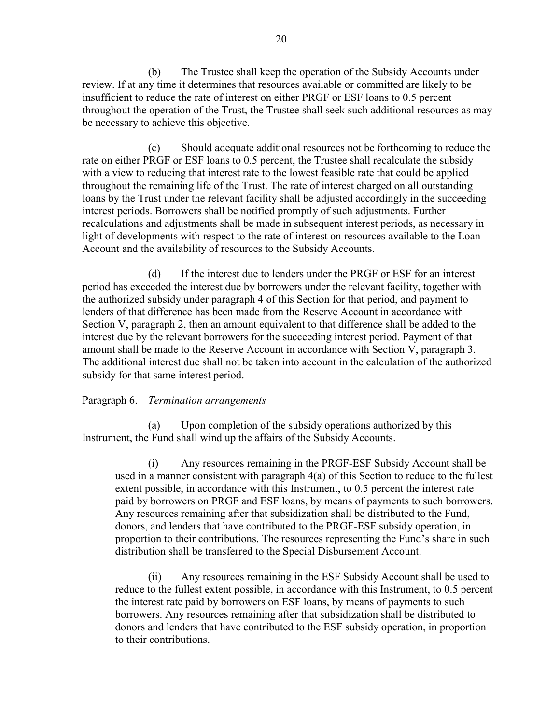(b) The Trustee shall keep the operation of the Subsidy Accounts under review. If at any time it determines that resources available or committed are likely to be insufficient to reduce the rate of interest on either PRGF or ESF loans to 0.5 percent throughout the operation of the Trust, the Trustee shall seek such additional resources as may be necessary to achieve this objective.

 (c) Should adequate additional resources not be forthcoming to reduce the rate on either PRGF or ESF loans to 0.5 percent, the Trustee shall recalculate the subsidy with a view to reducing that interest rate to the lowest feasible rate that could be applied throughout the remaining life of the Trust. The rate of interest charged on all outstanding loans by the Trust under the relevant facility shall be adjusted accordingly in the succeeding interest periods. Borrowers shall be notified promptly of such adjustments. Further recalculations and adjustments shall be made in subsequent interest periods, as necessary in light of developments with respect to the rate of interest on resources available to the Loan Account and the availability of resources to the Subsidy Accounts.

 (d) If the interest due to lenders under the PRGF or ESF for an interest period has exceeded the interest due by borrowers under the relevant facility, together with the authorized subsidy under paragraph 4 of this Section for that period, and payment to lenders of that difference has been made from the Reserve Account in accordance with Section V, paragraph 2, then an amount equivalent to that difference shall be added to the interest due by the relevant borrowers for the succeeding interest period. Payment of that amount shall be made to the Reserve Account in accordance with Section V, paragraph 3. The additional interest due shall not be taken into account in the calculation of the authorized subsidy for that same interest period.

## Paragraph 6. *Termination arrangements*

(a) Upon completion of the subsidy operations authorized by this Instrument, the Fund shall wind up the affairs of the Subsidy Accounts.

 (i) Any resources remaining in the PRGF-ESF Subsidy Account shall be used in a manner consistent with paragraph 4(a) of this Section to reduce to the fullest extent possible, in accordance with this Instrument, to 0.5 percent the interest rate paid by borrowers on PRGF and ESF loans, by means of payments to such borrowers. Any resources remaining after that subsidization shall be distributed to the Fund, donors, and lenders that have contributed to the PRGF-ESF subsidy operation, in proportion to their contributions. The resources representing the Fund's share in such distribution shall be transferred to the Special Disbursement Account.

 (ii) Any resources remaining in the ESF Subsidy Account shall be used to reduce to the fullest extent possible, in accordance with this Instrument, to 0.5 percent the interest rate paid by borrowers on ESF loans, by means of payments to such borrowers. Any resources remaining after that subsidization shall be distributed to donors and lenders that have contributed to the ESF subsidy operation, in proportion to their contributions.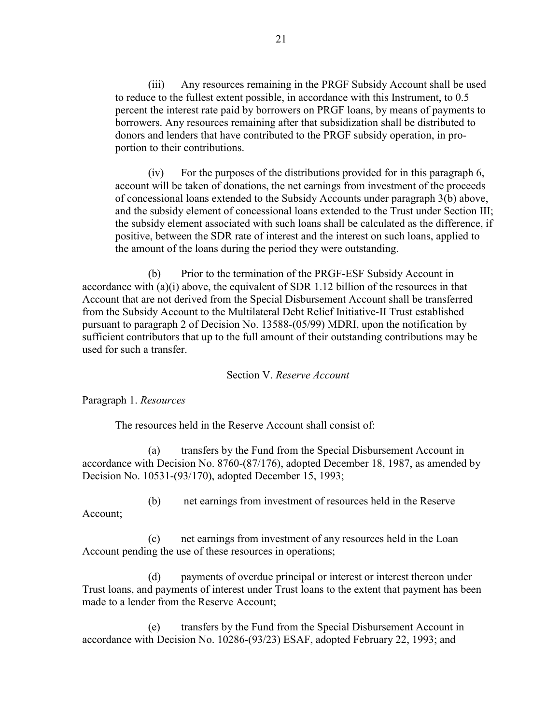(iii) Any resources remaining in the PRGF Subsidy Account shall be used to reduce to the fullest extent possible, in accordance with this Instrument, to 0.5 percent the interest rate paid by borrowers on PRGF loans, by means of payments to borrowers. Any resources remaining after that subsidization shall be distributed to donors and lenders that have contributed to the PRGF subsidy operation, in proportion to their contributions.

 (iv) For the purposes of the distributions provided for in this paragraph 6, account will be taken of donations, the net earnings from investment of the proceeds of concessional loans extended to the Subsidy Accounts under paragraph 3(b) above, and the subsidy element of concessional loans extended to the Trust under Section III; the subsidy element associated with such loans shall be calculated as the difference, if positive, between the SDR rate of interest and the interest on such loans, applied to the amount of the loans during the period they were outstanding.

 (b) Prior to the termination of the PRGF-ESF Subsidy Account in accordance with (a)(i) above, the equivalent of SDR 1.12 billion of the resources in that Account that are not derived from the Special Disbursement Account shall be transferred from the Subsidy Account to the Multilateral Debt Relief Initiative-II Trust established pursuant to paragraph 2 of Decision No. 13588-(05/99) MDRI, upon the notification by sufficient contributors that up to the full amount of their outstanding contributions may be used for such a transfer.

#### Section V. *Reserve Account*

Paragraph 1. *Resources* 

The resources held in the Reserve Account shall consist of:

 (a) transfers by the Fund from the Special Disbursement Account in accordance with Decision No. 8760-(87/176), adopted December 18, 1987, as amended by Decision No. 10531-(93/170), adopted December 15, 1993;

(b) net earnings from investment of resources held in the Reserve

Account;

 (c) net earnings from investment of any resources held in the Loan Account pending the use of these resources in operations;

(d) payments of overdue principal or interest or interest thereon under Trust loans, and payments of interest under Trust loans to the extent that payment has been made to a lender from the Reserve Account;

 (e) transfers by the Fund from the Special Disbursement Account in accordance with Decision No. 10286-(93/23) ESAF, adopted February 22, 1993; and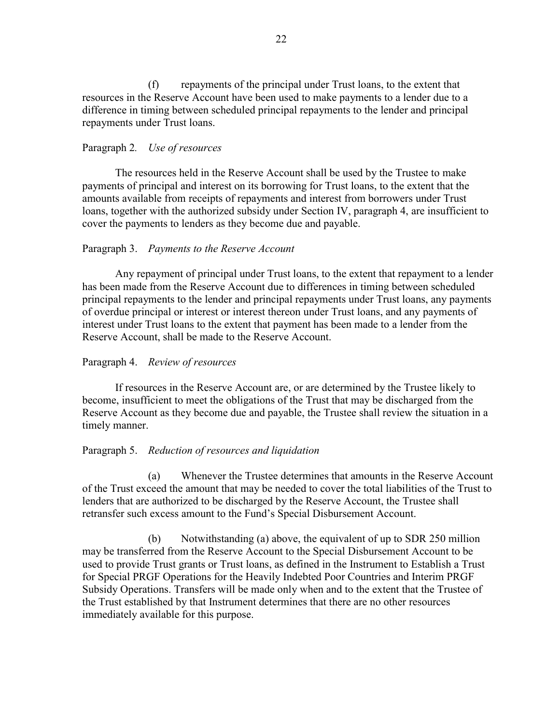(f) repayments of the principal under Trust loans, to the extent that resources in the Reserve Account have been used to make payments to a lender due to a difference in timing between scheduled principal repayments to the lender and principal repayments under Trust loans.

### Paragraph 2*. Use of resources*

The resources held in the Reserve Account shall be used by the Trustee to make payments of principal and interest on its borrowing for Trust loans, to the extent that the amounts available from receipts of repayments and interest from borrowers under Trust loans, together with the authorized subsidy under Section IV, paragraph 4, are insufficient to cover the payments to lenders as they become due and payable.

### Paragraph 3. *Payments to the Reserve Account*

Any repayment of principal under Trust loans, to the extent that repayment to a lender has been made from the Reserve Account due to differences in timing between scheduled principal repayments to the lender and principal repayments under Trust loans, any payments of overdue principal or interest or interest thereon under Trust loans, and any payments of interest under Trust loans to the extent that payment has been made to a lender from the Reserve Account, shall be made to the Reserve Account.

#### Paragraph 4. *Review of resources*

If resources in the Reserve Account are, or are determined by the Trustee likely to become, insufficient to meet the obligations of the Trust that may be discharged from the Reserve Account as they become due and payable, the Trustee shall review the situation in a timely manner.

#### Paragraph 5. *Reduction of resources and liquidation*

(a) Whenever the Trustee determines that amounts in the Reserve Account of the Trust exceed the amount that may be needed to cover the total liabilities of the Trust to lenders that are authorized to be discharged by the Reserve Account, the Trustee shall retransfer such excess amount to the Fund's Special Disbursement Account.

 (b) Notwithstanding (a) above, the equivalent of up to SDR 250 million may be transferred from the Reserve Account to the Special Disbursement Account to be used to provide Trust grants or Trust loans, as defined in the Instrument to Establish a Trust for Special PRGF Operations for the Heavily Indebted Poor Countries and Interim PRGF Subsidy Operations. Transfers will be made only when and to the extent that the Trustee of the Trust established by that Instrument determines that there are no other resources immediately available for this purpose.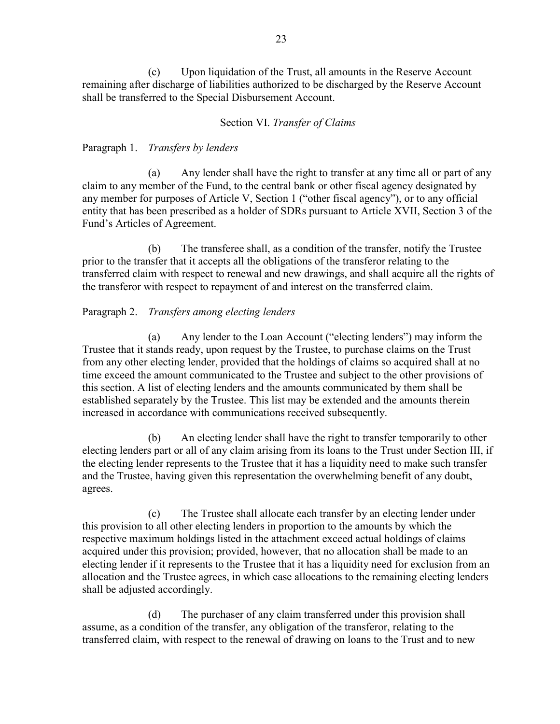(c) Upon liquidation of the Trust, all amounts in the Reserve Account remaining after discharge of liabilities authorized to be discharged by the Reserve Account shall be transferred to the Special Disbursement Account.

## Section VI. *Transfer of Claims*

Paragraph 1. *Transfers by lenders* 

(a) Any lender shall have the right to transfer at any time all or part of any claim to any member of the Fund, to the central bank or other fiscal agency designated by any member for purposes of Article V, Section 1 ("other fiscal agency"), or to any official entity that has been prescribed as a holder of SDRs pursuant to Article XVII, Section 3 of the Fund's Articles of Agreement.

 (b) The transferee shall, as a condition of the transfer, notify the Trustee prior to the transfer that it accepts all the obligations of the transferor relating to the transferred claim with respect to renewal and new drawings, and shall acquire all the rights of the transferor with respect to repayment of and interest on the transferred claim.

# Paragraph 2. *Transfers among electing lenders*

(a) Any lender to the Loan Account ("electing lenders") may inform the Trustee that it stands ready, upon request by the Trustee, to purchase claims on the Trust from any other electing lender, provided that the holdings of claims so acquired shall at no time exceed the amount communicated to the Trustee and subject to the other provisions of this section. A list of electing lenders and the amounts communicated by them shall be established separately by the Trustee. This list may be extended and the amounts therein increased in accordance with communications received subsequently.

 (b) An electing lender shall have the right to transfer temporarily to other electing lenders part or all of any claim arising from its loans to the Trust under Section III, if the electing lender represents to the Trustee that it has a liquidity need to make such transfer and the Trustee, having given this representation the overwhelming benefit of any doubt, agrees.

 (c) The Trustee shall allocate each transfer by an electing lender under this provision to all other electing lenders in proportion to the amounts by which the respective maximum holdings listed in the attachment exceed actual holdings of claims acquired under this provision; provided, however, that no allocation shall be made to an electing lender if it represents to the Trustee that it has a liquidity need for exclusion from an allocation and the Trustee agrees, in which case allocations to the remaining electing lenders shall be adjusted accordingly.

 (d) The purchaser of any claim transferred under this provision shall assume, as a condition of the transfer, any obligation of the transferor, relating to the transferred claim, with respect to the renewal of drawing on loans to the Trust and to new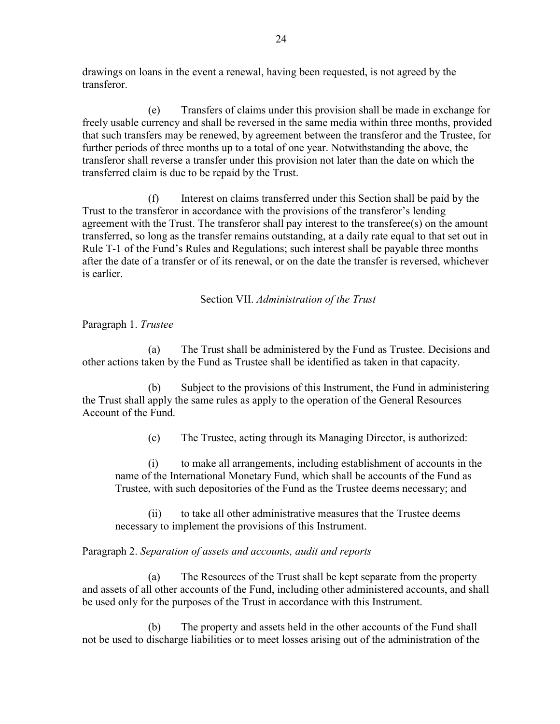drawings on loans in the event a renewal, having been requested, is not agreed by the transferor.

 (e) Transfers of claims under this provision shall be made in exchange for freely usable currency and shall be reversed in the same media within three months, provided that such transfers may be renewed, by agreement between the transferor and the Trustee, for further periods of three months up to a total of one year. Notwithstanding the above, the transferor shall reverse a transfer under this provision not later than the date on which the transferred claim is due to be repaid by the Trust.

 (f) Interest on claims transferred under this Section shall be paid by the Trust to the transferor in accordance with the provisions of the transferor's lending agreement with the Trust. The transferor shall pay interest to the transferee(s) on the amount transferred, so long as the transfer remains outstanding, at a daily rate equal to that set out in Rule T-1 of the Fund's Rules and Regulations; such interest shall be payable three months after the date of a transfer or of its renewal, or on the date the transfer is reversed, whichever is earlier.

Section VII. *Administration of the Trust* 

Paragraph 1. *Trustee* 

(a) The Trust shall be administered by the Fund as Trustee. Decisions and other actions taken by the Fund as Trustee shall be identified as taken in that capacity.

 (b) Subject to the provisions of this Instrument, the Fund in administering the Trust shall apply the same rules as apply to the operation of the General Resources Account of the Fund.

(c) The Trustee, acting through its Managing Director, is authorized:

 (i) to make all arrangements, including establishment of accounts in the name of the International Monetary Fund, which shall be accounts of the Fund as Trustee, with such depositories of the Fund as the Trustee deems necessary; and

 (ii) to take all other administrative measures that the Trustee deems necessary to implement the provisions of this Instrument.

# Paragraph 2. *Separation of assets and accounts, audit and reports*

(a) The Resources of the Trust shall be kept separate from the property and assets of all other accounts of the Fund, including other administered accounts, and shall be used only for the purposes of the Trust in accordance with this Instrument.

 (b) The property and assets held in the other accounts of the Fund shall not be used to discharge liabilities or to meet losses arising out of the administration of the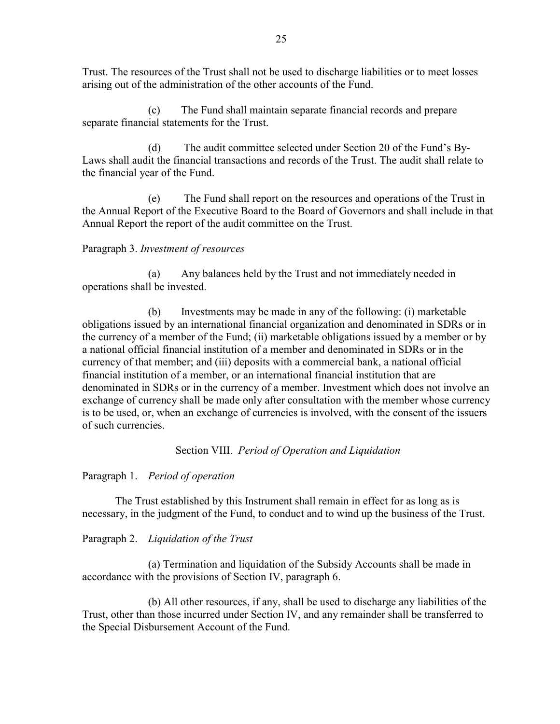Trust. The resources of the Trust shall not be used to discharge liabilities or to meet losses arising out of the administration of the other accounts of the Fund.

 (c) The Fund shall maintain separate financial records and prepare separate financial statements for the Trust.

 (d) The audit committee selected under Section 20 of the Fund's By-Laws shall audit the financial transactions and records of the Trust. The audit shall relate to the financial year of the Fund.

 (e) The Fund shall report on the resources and operations of the Trust in the Annual Report of the Executive Board to the Board of Governors and shall include in that Annual Report the report of the audit committee on the Trust.

# Paragraph 3. *Investment of resources*

(a) Any balances held by the Trust and not immediately needed in operations shall be invested.

 (b) Investments may be made in any of the following: (i) marketable obligations issued by an international financial organization and denominated in SDRs or in the currency of a member of the Fund; (ii) marketable obligations issued by a member or by a national official financial institution of a member and denominated in SDRs or in the currency of that member; and (iii) deposits with a commercial bank, a national official financial institution of a member, or an international financial institution that are denominated in SDRs or in the currency of a member. Investment which does not involve an exchange of currency shall be made only after consultation with the member whose currency is to be used, or, when an exchange of currencies is involved, with the consent of the issuers of such currencies.

Section VIII. *Period of Operation and Liquidation* 

Paragraph 1. *Period of operation* 

The Trust established by this Instrument shall remain in effect for as long as is necessary, in the judgment of the Fund, to conduct and to wind up the business of the Trust.

Paragraph 2. *Liquidation of the Trust* 

(a) Termination and liquidation of the Subsidy Accounts shall be made in accordance with the provisions of Section IV, paragraph 6.

 (b) All other resources, if any, shall be used to discharge any liabilities of the Trust, other than those incurred under Section IV, and any remainder shall be transferred to the Special Disbursement Account of the Fund.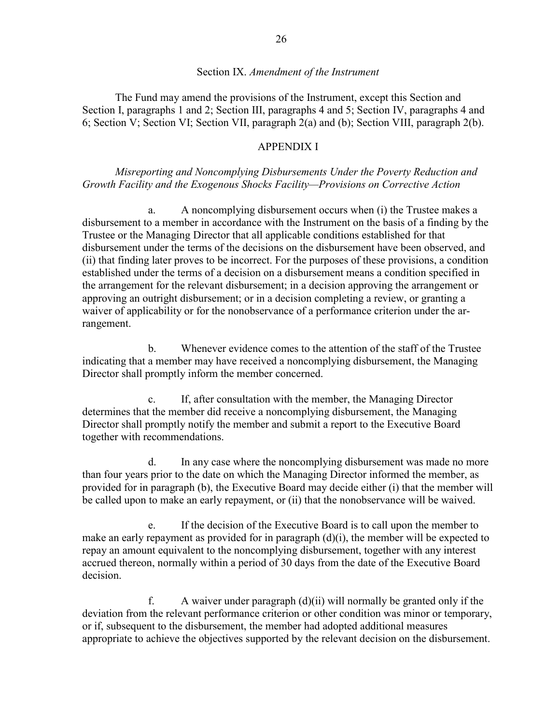#### Section IX. *Amendment of the Instrument*

The Fund may amend the provisions of the Instrument, except this Section and Section I, paragraphs 1 and 2; Section III, paragraphs 4 and 5; Section IV, paragraphs 4 and 6; Section V; Section VI; Section VII, paragraph 2(a) and (b); Section VIII, paragraph 2(b).

## APPENDIX I

*Misreporting and Noncomplying Disbursements Under the Poverty Reduction and Growth Facility and the Exogenous Shocks Facility—Provisions on Corrective Action* 

a. A noncomplying disbursement occurs when (i) the Trustee makes a disbursement to a member in accordance with the Instrument on the basis of a finding by the Trustee or the Managing Director that all applicable conditions established for that disbursement under the terms of the decisions on the disbursement have been observed, and (ii) that finding later proves to be incorrect. For the purposes of these provisions, a condition established under the terms of a decision on a disbursement means a condition specified in the arrangement for the relevant disbursement; in a decision approving the arrangement or approving an outright disbursement; or in a decision completing a review, or granting a waiver of applicability or for the nonobservance of a performance criterion under the arrangement.

 b. Whenever evidence comes to the attention of the staff of the Trustee indicating that a member may have received a noncomplying disbursement, the Managing Director shall promptly inform the member concerned.

 c. If, after consultation with the member, the Managing Director determines that the member did receive a noncomplying disbursement, the Managing Director shall promptly notify the member and submit a report to the Executive Board together with recommendations.

 d. In any case where the noncomplying disbursement was made no more than four years prior to the date on which the Managing Director informed the member, as provided for in paragraph (b), the Executive Board may decide either (i) that the member will be called upon to make an early repayment, or (ii) that the nonobservance will be waived.

 e. If the decision of the Executive Board is to call upon the member to make an early repayment as provided for in paragraph (d)(i), the member will be expected to repay an amount equivalent to the noncomplying disbursement, together with any interest accrued thereon, normally within a period of 30 days from the date of the Executive Board decision.

f. A waiver under paragraph  $(d)(ii)$  will normally be granted only if the deviation from the relevant performance criterion or other condition was minor or temporary, or if, subsequent to the disbursement, the member had adopted additional measures appropriate to achieve the objectives supported by the relevant decision on the disbursement.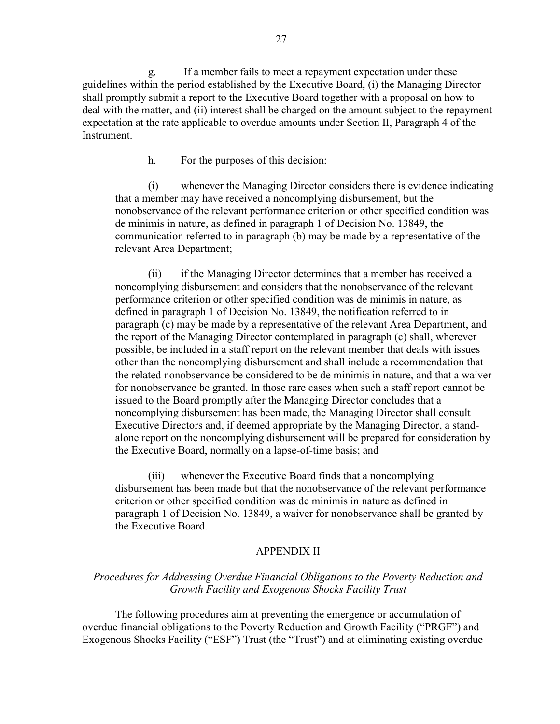g. If a member fails to meet a repayment expectation under these guidelines within the period established by the Executive Board, (i) the Managing Director shall promptly submit a report to the Executive Board together with a proposal on how to deal with the matter, and (ii) interest shall be charged on the amount subject to the repayment expectation at the rate applicable to overdue amounts under Section II, Paragraph 4 of the Instrument.

h. For the purposes of this decision:

 (i) whenever the Managing Director considers there is evidence indicating that a member may have received a noncomplying disbursement, but the nonobservance of the relevant performance criterion or other specified condition was de minimis in nature, as defined in paragraph 1 of Decision No. 13849, the communication referred to in paragraph (b) may be made by a representative of the relevant Area Department;

 (ii) if the Managing Director determines that a member has received a noncomplying disbursement and considers that the nonobservance of the relevant performance criterion or other specified condition was de minimis in nature, as defined in paragraph 1 of Decision No. 13849, the notification referred to in paragraph (c) may be made by a representative of the relevant Area Department, and the report of the Managing Director contemplated in paragraph (c) shall, wherever possible, be included in a staff report on the relevant member that deals with issues other than the noncomplying disbursement and shall include a recommendation that the related nonobservance be considered to be de minimis in nature, and that a waiver for nonobservance be granted. In those rare cases when such a staff report cannot be issued to the Board promptly after the Managing Director concludes that a noncomplying disbursement has been made, the Managing Director shall consult Executive Directors and, if deemed appropriate by the Managing Director, a standalone report on the noncomplying disbursement will be prepared for consideration by the Executive Board, normally on a lapse-of-time basis; and

 (iii) whenever the Executive Board finds that a noncomplying disbursement has been made but that the nonobservance of the relevant performance criterion or other specified condition was de minimis in nature as defined in paragraph 1 of Decision No. 13849, a waiver for nonobservance shall be granted by the Executive Board.

#### APPENDIX II

## *Procedures for Addressing Overdue Financial Obligations to the Poverty Reduction and Growth Facility and Exogenous Shocks Facility Trust*

The following procedures aim at preventing the emergence or accumulation of overdue financial obligations to the Poverty Reduction and Growth Facility ("PRGF") and Exogenous Shocks Facility ("ESF") Trust (the "Trust") and at eliminating existing overdue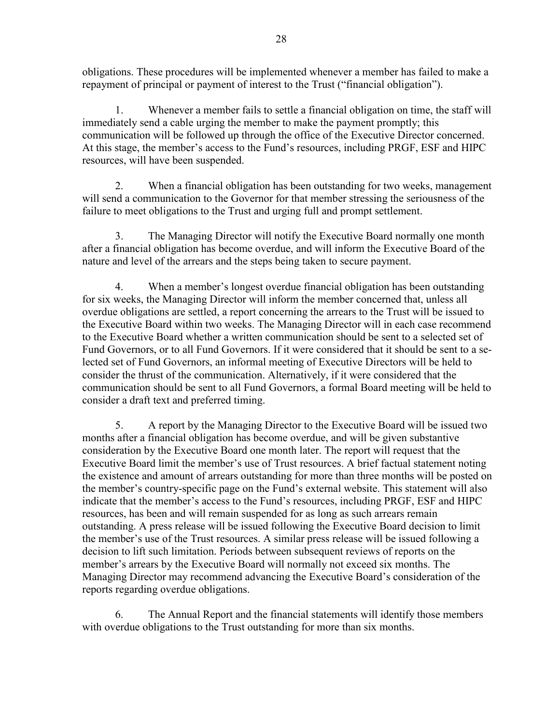obligations. These procedures will be implemented whenever a member has failed to make a repayment of principal or payment of interest to the Trust ("financial obligation").

 1. Whenever a member fails to settle a financial obligation on time, the staff will immediately send a cable urging the member to make the payment promptly; this communication will be followed up through the office of the Executive Director concerned. At this stage, the member's access to the Fund's resources, including PRGF, ESF and HIPC resources, will have been suspended.

 2. When a financial obligation has been outstanding for two weeks, management will send a communication to the Governor for that member stressing the seriousness of the failure to meet obligations to the Trust and urging full and prompt settlement.

 3. The Managing Director will notify the Executive Board normally one month after a financial obligation has become overdue, and will inform the Executive Board of the nature and level of the arrears and the steps being taken to secure payment.

 4. When a member's longest overdue financial obligation has been outstanding for six weeks, the Managing Director will inform the member concerned that, unless all overdue obligations are settled, a report concerning the arrears to the Trust will be issued to the Executive Board within two weeks. The Managing Director will in each case recommend to the Executive Board whether a written communication should be sent to a selected set of Fund Governors, or to all Fund Governors. If it were considered that it should be sent to a selected set of Fund Governors, an informal meeting of Executive Directors will be held to consider the thrust of the communication. Alternatively, if it were considered that the communication should be sent to all Fund Governors, a formal Board meeting will be held to consider a draft text and preferred timing.

 5. A report by the Managing Director to the Executive Board will be issued two months after a financial obligation has become overdue, and will be given substantive consideration by the Executive Board one month later. The report will request that the Executive Board limit the member's use of Trust resources. A brief factual statement noting the existence and amount of arrears outstanding for more than three months will be posted on the member's country-specific page on the Fund's external website. This statement will also indicate that the member's access to the Fund's resources, including PRGF, ESF and HIPC resources, has been and will remain suspended for as long as such arrears remain outstanding. A press release will be issued following the Executive Board decision to limit the member's use of the Trust resources. A similar press release will be issued following a decision to lift such limitation. Periods between subsequent reviews of reports on the member's arrears by the Executive Board will normally not exceed six months. The Managing Director may recommend advancing the Executive Board's consideration of the reports regarding overdue obligations.

 6. The Annual Report and the financial statements will identify those members with overdue obligations to the Trust outstanding for more than six months.